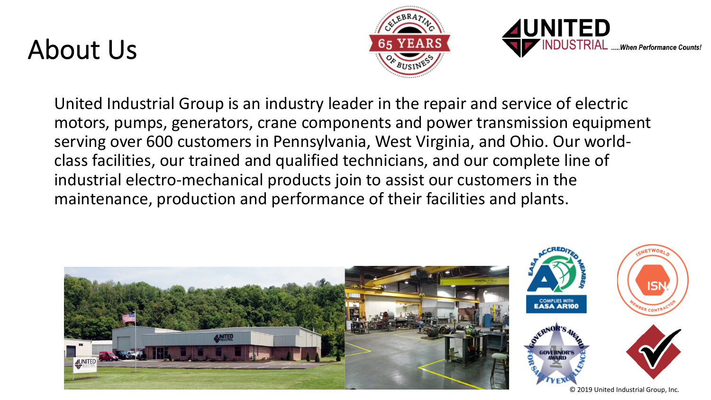## About Us





United Industrial Group is an industry leader in the repair and service of electric motors, pumps, generators, crane components and power transmission equipment serving over 600 customers in Pennsylvania, West Virginia, and Ohio. Our worldclass facilities, our trained and qualified technicians, and our complete line of industrial electro-mechanical products join to assist our customers in the maintenance, production and performance of their facilities and plants.